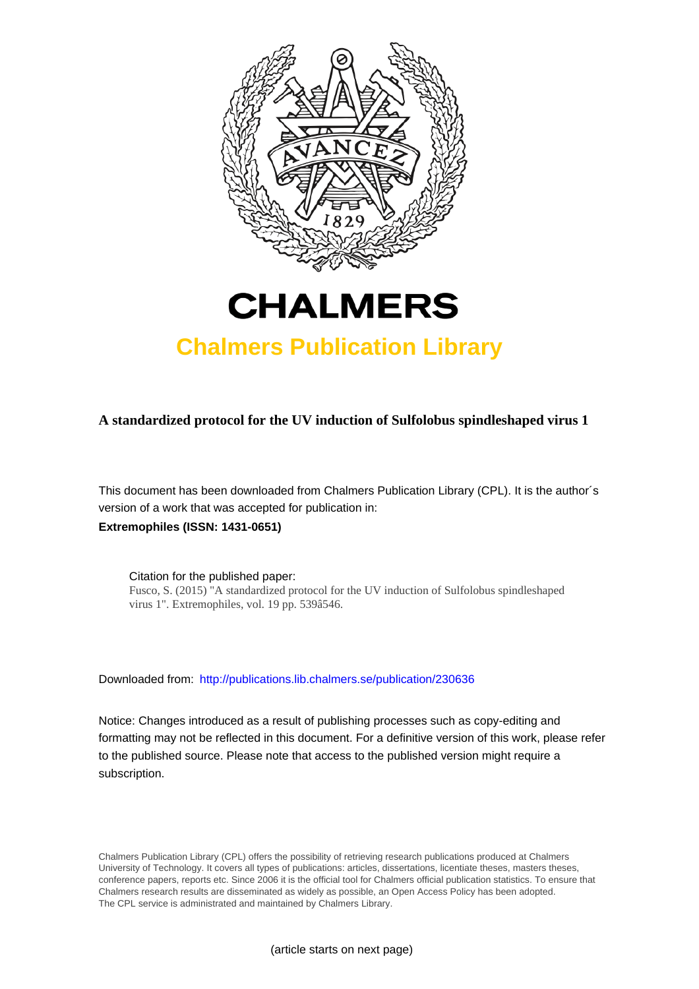

# **CHALMERS**

## **Chalmers Publication Library**

**A standardized protocol for the UV induction of Sulfolobus spindleshaped virus 1**

This document has been downloaded from Chalmers Publication Library (CPL). It is the author´s version of a work that was accepted for publication in: **Extremophiles (ISSN: 1431-0651)**

Citation for the published paper: Fusco, S. (2015) "A standardized protocol for the UV induction of Sulfolobus spindleshaped virus 1". Extremophiles, vol. 19 pp. 539â546.

Downloaded from: <http://publications.lib.chalmers.se/publication/230636>

Notice: Changes introduced as a result of publishing processes such as copy-editing and formatting may not be reflected in this document. For a definitive version of this work, please refer to the published source. Please note that access to the published version might require a subscription.

Chalmers Publication Library (CPL) offers the possibility of retrieving research publications produced at Chalmers University of Technology. It covers all types of publications: articles, dissertations, licentiate theses, masters theses, conference papers, reports etc. Since 2006 it is the official tool for Chalmers official publication statistics. To ensure that Chalmers research results are disseminated as widely as possible, an Open Access Policy has been adopted. The CPL service is administrated and maintained by Chalmers Library.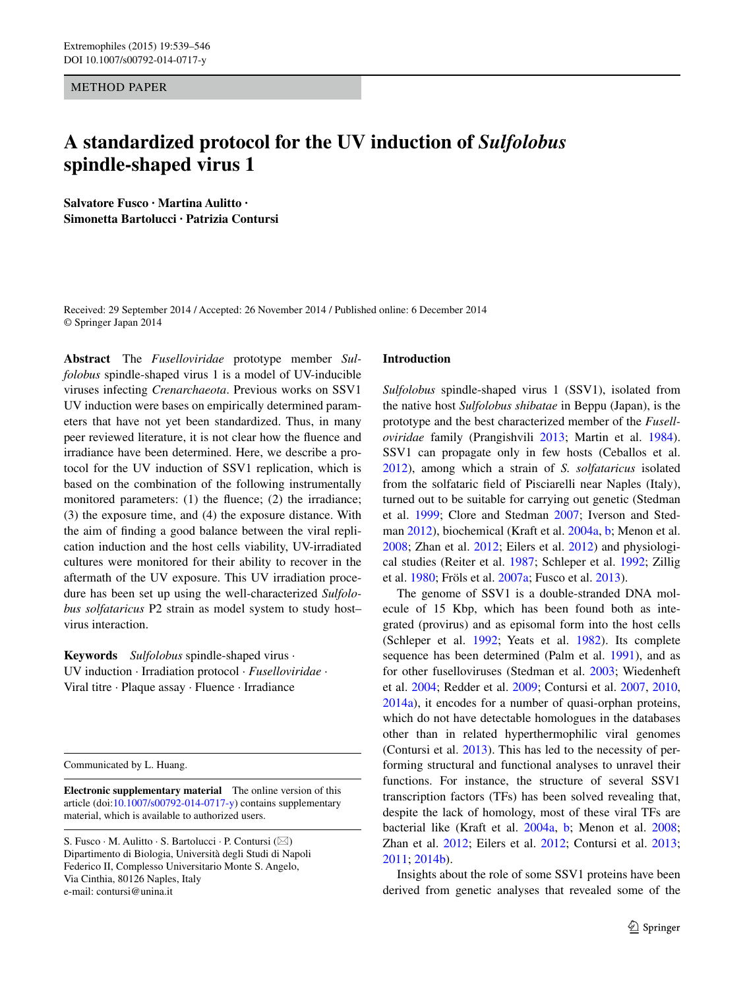METHOD PAPER

### **A standardized protocol for the UV induction of** *Sulfolobus* **spindle‑shaped virus 1**

**Salvatore Fusco · Martina Aulitto · Simonetta Bartolucci · Patrizia Contursi**

Received: 29 September 2014 / Accepted: 26 November 2014 / Published online: 6 December 2014 © Springer Japan 2014

**Abstract** The *Fuselloviridae* prototype member *Sulfolobus* spindle-shaped virus 1 is a model of UV-inducible viruses infecting *Crenarchaeota*. Previous works on SSV1 UV induction were bases on empirically determined parameters that have not yet been standardized. Thus, in many peer reviewed literature, it is not clear how the fluence and irradiance have been determined. Here, we describe a protocol for the UV induction of SSV1 replication, which is based on the combination of the following instrumentally monitored parameters: (1) the fluence; (2) the irradiance; (3) the exposure time, and (4) the exposure distance. With the aim of finding a good balance between the viral replication induction and the host cells viability, UV-irradiated cultures were monitored for their ability to recover in the aftermath of the UV exposure. This UV irradiation procedure has been set up using the well-characterized *Sulfolobus solfataricus* P2 strain as model system to study host– virus interaction.

**Keywords** *Sulfolobus* spindle-shaped virus · UV induction · Irradiation protocol · *Fuselloviridae* · Viral titre · Plaque assay · Fluence · Irradiance

Communicated by L. Huang.

**Electronic supplementary material** The online version of this article (doi[:10.1007/s00792-014-0717-y](http://dx.doi.org/10.1007/s00792-014-0717-y)) contains supplementary material, which is available to authorized users.

#### **Introduction**

*Sulfolobus* spindle-shaped virus 1 (SSV1), isolated from the native host *Sulfolobus shibatae* in Beppu (Japan), is the prototype and the best characterized member of the *Fuselloviridae* family (Prangishvili [2013;](#page-8-0) Martin et al. [1984](#page-8-1)). SSV1 can propagate only in few hosts (Ceballos et al. [2012](#page-7-0)), among which a strain of *S. solfataricus* isolated from the solfataric field of Pisciarelli near Naples (Italy), turned out to be suitable for carrying out genetic (Stedman et al. [1999;](#page-8-2) Clore and Stedman [2007](#page-7-1); Iverson and Stedman [2012\)](#page-7-2), biochemical (Kraft et al. [2004a,](#page-7-3) [b;](#page-7-4) Menon et al. [2008](#page-8-3); Zhan et al. [2012](#page-8-4); Eilers et al. [2012\)](#page-7-5) and physiological studies (Reiter et al. [1987](#page-8-5); Schleper et al. [1992;](#page-8-6) Zillig et al. [1980](#page-8-7); Fröls et al. [2007a;](#page-7-6) Fusco et al. [2013](#page-7-7)).

The genome of SSV1 is a double-stranded DNA molecule of 15 Kbp, which has been found both as integrated (provirus) and as episomal form into the host cells (Schleper et al. [1992;](#page-8-6) Yeats et al. [1982\)](#page-8-8). Its complete sequence has been determined (Palm et al. [1991\)](#page-8-9), and as for other fuselloviruses (Stedman et al. [2003;](#page-8-10) Wiedenheft et al. [2004](#page-8-11); Redder et al. [2009;](#page-8-12) Contursi et al. [2007](#page-7-8), [2010,](#page-7-9) [2014a\)](#page-7-10), it encodes for a number of quasi-orphan proteins, which do not have detectable homologues in the databases other than in related hyperthermophilic viral genomes (Contursi et al. [2013](#page-7-11)). This has led to the necessity of performing structural and functional analyses to unravel their functions. For instance, the structure of several SSV1 transcription factors (TFs) has been solved revealing that, despite the lack of homology, most of these viral TFs are bacterial like (Kraft et al. [2004a,](#page-7-3) [b;](#page-7-4) Menon et al. [2008](#page-8-3); Zhan et al. [2012;](#page-8-4) Eilers et al. [2012;](#page-7-5) Contursi et al. [2013](#page-7-11); [2011](#page-7-12); [2014b](#page-7-13)).

Insights about the role of some SSV1 proteins have been derived from genetic analyses that revealed some of the

S. Fusco · M. Aulitto · S. Bartolucci · P. Contursi ( $\boxtimes$ ) Dipartimento di Biologia, Università degli Studi di Napoli Federico II, Complesso Universitario Monte S. Angelo, Via Cinthia, 80126 Naples, Italy e-mail: contursi@unina.it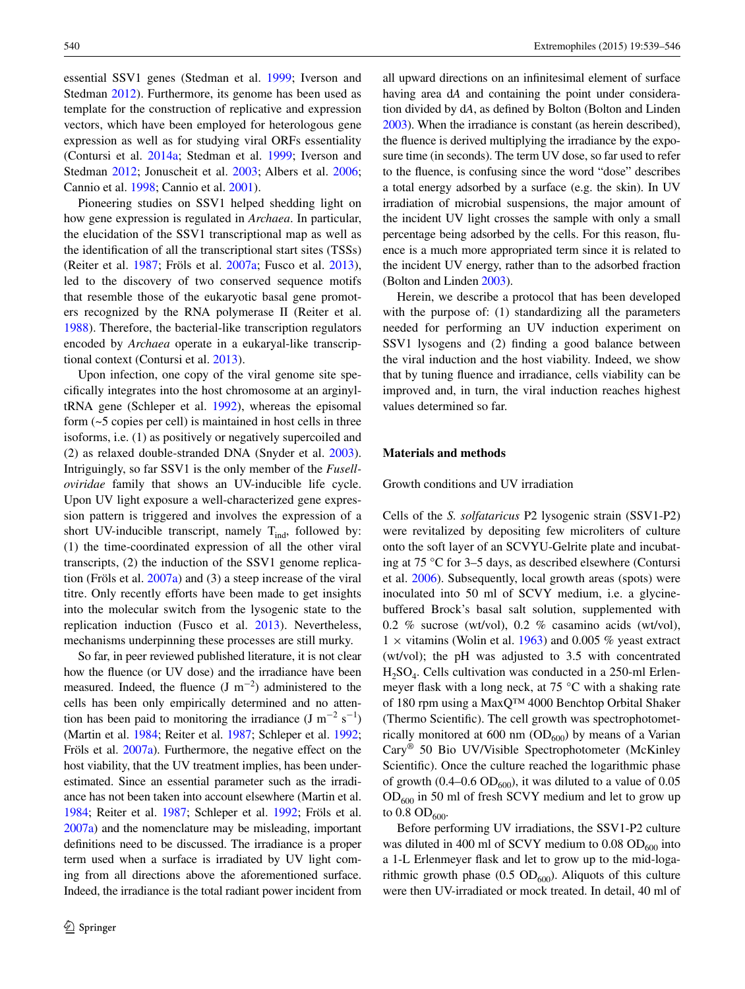essential SSV1 genes (Stedman et al. [1999](#page-8-2); Iverson and Stedman [2012](#page-7-2)). Furthermore, its genome has been used as template for the construction of replicative and expression vectors, which have been employed for heterologous gene expression as well as for studying viral ORFs essentiality (Contursi et al. [2014a;](#page-7-10) Stedman et al. [1999;](#page-8-2) Iverson and Stedman [2012;](#page-7-2) Jonuscheit et al. [2003](#page-7-14); Albers et al. [2006](#page-7-15); Cannio et al. [1998](#page-7-16); Cannio et al. [2001\)](#page-7-17).

Pioneering studies on SSV1 helped shedding light on how gene expression is regulated in *Archaea*. In particular, the elucidation of the SSV1 transcriptional map as well as the identification of all the transcriptional start sites (TSSs) (Reiter et al. [1987](#page-8-5); Fröls et al. [2007a](#page-7-6); Fusco et al. [2013](#page-7-7)), led to the discovery of two conserved sequence motifs that resemble those of the eukaryotic basal gene promoters recognized by the RNA polymerase II (Reiter et al. [1988](#page-8-13)). Therefore, the bacterial-like transcription regulators encoded by *Archaea* operate in a eukaryal-like transcriptional context (Contursi et al. [2013](#page-7-11)).

Upon infection, one copy of the viral genome site specifically integrates into the host chromosome at an arginyltRNA gene (Schleper et al. [1992\)](#page-8-6), whereas the episomal form (~5 copies per cell) is maintained in host cells in three isoforms, i.e. (1) as positively or negatively supercoiled and (2) as relaxed double-stranded DNA (Snyder et al. [2003](#page-8-14)). Intriguingly, so far SSV1 is the only member of the *Fuselloviridae* family that shows an UV-inducible life cycle. Upon UV light exposure a well-characterized gene expression pattern is triggered and involves the expression of a short UV-inducible transcript, namely  $T_{ind}$ , followed by: (1) the time-coordinated expression of all the other viral transcripts, (2) the induction of the SSV1 genome replication (Fröls et al. [2007a](#page-7-6)) and (3) a steep increase of the viral titre. Only recently efforts have been made to get insights into the molecular switch from the lysogenic state to the replication induction (Fusco et al. [2013\)](#page-7-7). Nevertheless, mechanisms underpinning these processes are still murky.

So far, in peer reviewed published literature, it is not clear how the fluence (or UV dose) and the irradiance have been measured. Indeed, the fluence  $(J m^{-2})$  administered to the cells has been only empirically determined and no attention has been paid to monitoring the irradiance (J m<sup>-2</sup> s<sup>-1</sup>) (Martin et al. [1984](#page-8-1); Reiter et al. [1987](#page-8-5); Schleper et al. [1992](#page-8-6); Fröls et al. [2007a](#page-7-6)). Furthermore, the negative effect on the host viability, that the UV treatment implies, has been underestimated. Since an essential parameter such as the irradiance has not been taken into account elsewhere (Martin et al. [1984;](#page-8-1) Reiter et al. [1987](#page-8-5); Schleper et al. [1992;](#page-8-6) Fröls et al. [2007a\)](#page-7-6) and the nomenclature may be misleading, important definitions need to be discussed. The irradiance is a proper term used when a surface is irradiated by UV light coming from all directions above the aforementioned surface. Indeed, the irradiance is the total radiant power incident from

all upward directions on an infinitesimal element of surface having area d*A* and containing the point under consideration divided by d*A*, as defined by Bolton (Bolton and Linden [2003\)](#page-7-18). When the irradiance is constant (as herein described), the fluence is derived multiplying the irradiance by the exposure time (in seconds). The term UV dose, so far used to refer to the fluence, is confusing since the word "dose" describes a total energy adsorbed by a surface (e.g. the skin). In UV irradiation of microbial suspensions, the major amount of the incident UV light crosses the sample with only a small percentage being adsorbed by the cells. For this reason, fluence is a much more appropriated term since it is related to the incident UV energy, rather than to the adsorbed fraction (Bolton and Linden [2003\)](#page-7-18).

Herein, we describe a protocol that has been developed with the purpose of: (1) standardizing all the parameters needed for performing an UV induction experiment on SSV1 lysogens and (2) finding a good balance between the viral induction and the host viability. Indeed, we show that by tuning fluence and irradiance, cells viability can be improved and, in turn, the viral induction reaches highest values determined so far.

#### **Materials and methods**

Growth conditions and UV irradiation

Cells of the *S. solfataricus* P2 lysogenic strain (SSV1-P2) were revitalized by depositing few microliters of culture onto the soft layer of an SCVYU-Gelrite plate and incubating at 75 °C for 3–5 days, as described elsewhere (Contursi et al. [2006](#page-7-19)). Subsequently, local growth areas (spots) were inoculated into 50 ml of SCVY medium, i.e. a glycinebuffered Brock's basal salt solution, supplemented with 0.2 % sucrose (wt/vol), 0.2 % casamino acids (wt/vol),  $1 \times$  vitamins (Wolin et al. [1963](#page-8-15)) and 0.005 % yeast extract (wt/vol); the pH was adjusted to 3.5 with concentrated  $H_2SO_4$ . Cells cultivation was conducted in a 250-ml Erlenmeyer flask with a long neck, at 75 °C with a shaking rate of 180 rpm using a MaxQ™ 4000 Benchtop Orbital Shaker (Thermo Scientific). The cell growth was spectrophotometrically monitored at 600 nm  $(OD_{600})$  by means of a Varian Cary® 50 Bio UV/Visible Spectrophotometer (McKinley Scientific). Once the culture reached the logarithmic phase of growth (0.4–0.6  $OD<sub>600</sub>$ ), it was diluted to a value of 0.05  $OD_{600}$  in 50 ml of fresh SCVY medium and let to grow up to  $0.8$  OD<sub>600</sub>.

Before performing UV irradiations, the SSV1-P2 culture was diluted in 400 ml of SCVY medium to  $0.08$  OD<sub>600</sub> into a 1-L Erlenmeyer flask and let to grow up to the mid-logarithmic growth phase  $(0.5 \text{ OD}_{600})$ . Aliquots of this culture were then UV-irradiated or mock treated. In detail, 40 ml of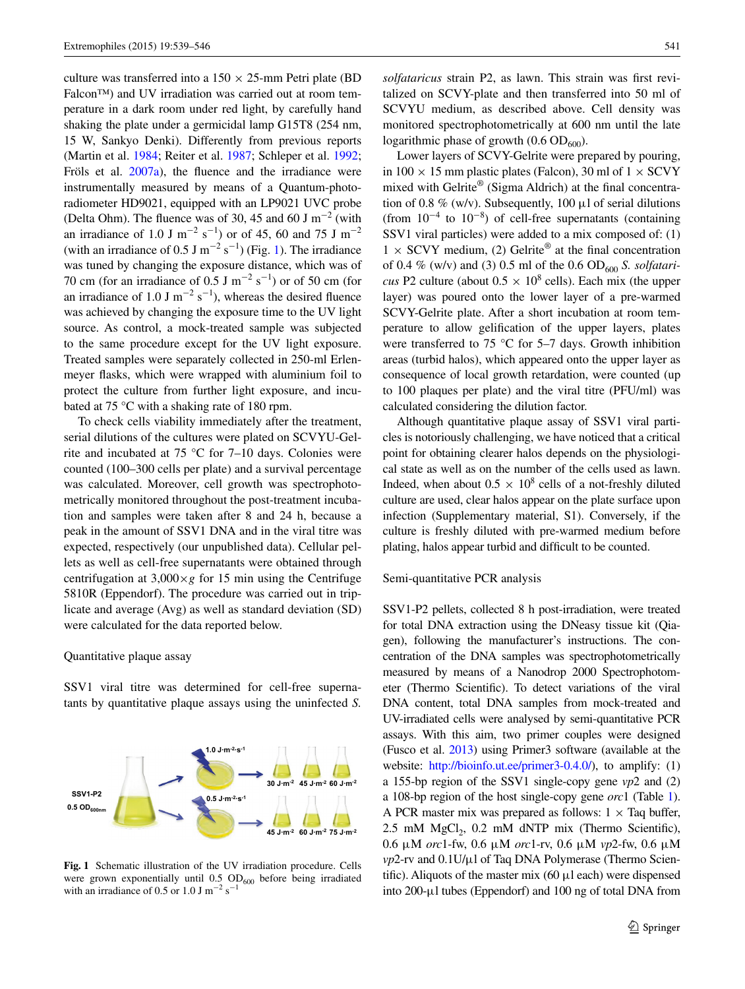culture was transferred into a  $150 \times 25$ -mm Petri plate (BD) Falcon™) and UV irradiation was carried out at room temperature in a dark room under red light, by carefully hand shaking the plate under a germicidal lamp G15T8 (254 nm, 15 W, Sankyo Denki). Differently from previous reports (Martin et al. [1984](#page-8-1); Reiter et al. [1987](#page-8-5); Schleper et al. [1992](#page-8-6); Fröls et al. [2007a](#page-7-6)), the fluence and the irradiance were instrumentally measured by means of a Quantum-photoradiometer HD9021, equipped with an LP9021 UVC probe (Delta Ohm). The fluence was of 30, 45 and 60 J m<sup>-2</sup> (with an irradiance of 1.0 J m<sup>-2</sup> s<sup>-1</sup>) or of 45, 60 and 75 J m<sup>-2</sup> (with an irradiance of 0.5 J m<sup>-2</sup> s<sup>-1</sup>) (Fig. [1\)](#page-3-0). The irradiance was tuned by changing the exposure distance, which was of 70 cm (for an irradiance of 0.5 J m<sup>-2</sup> s<sup>-1</sup>) or of 50 cm (for an irradiance of 1.0 J m<sup>-2</sup> s<sup>-1</sup>), whereas the desired fluence was achieved by changing the exposure time to the UV light source. As control, a mock-treated sample was subjected to the same procedure except for the UV light exposure. Treated samples were separately collected in 250-ml Erlenmeyer flasks, which were wrapped with aluminium foil to protect the culture from further light exposure, and incubated at 75 °C with a shaking rate of 180 rpm.

To check cells viability immediately after the treatment, serial dilutions of the cultures were plated on SCVYU-Gelrite and incubated at 75 °C for 7–10 days. Colonies were counted (100–300 cells per plate) and a survival percentage was calculated. Moreover, cell growth was spectrophotometrically monitored throughout the post-treatment incubation and samples were taken after 8 and 24 h, because a peak in the amount of SSV1 DNA and in the viral titre was expected, respectively (our unpublished data). Cellular pellets as well as cell-free supernatants were obtained through centrifugation at  $3,000 \times g$  for 15 min using the Centrifuge 5810R (Eppendorf). The procedure was carried out in triplicate and average (Avg) as well as standard deviation (SD) were calculated for the data reported below.

#### Quantitative plaque assay

SSV1 viral titre was determined for cell-free supernatants by quantitative plaque assays using the uninfected *S.* 

<span id="page-3-0"></span>**Fig. 1** Schematic illustration of the UV irradiation procedure. Cells were grown exponentially until  $0.5$  OD<sub>600</sub> before being irradiated with an irradiance of 0.5 or 1.0 J m<sup>-2</sup> s<sup>-1</sup>

*solfataricus* strain P2, as lawn. This strain was first revitalized on SCVY-plate and then transferred into 50 ml of SCVYU medium, as described above. Cell density was monitored spectrophotometrically at 600 nm until the late logarithmic phase of growth  $(0.6 \text{ OD}_{600})$ .

Lower layers of SCVY-Gelrite were prepared by pouring, in 100  $\times$  15 mm plastic plates (Falcon), 30 ml of 1  $\times$  SCVY mixed with Gelrite® (Sigma Aldrich) at the final concentration of 0.8 % (w/v). Subsequently, 100  $\mu$ l of serial dilutions (from  $10^{-4}$  to  $10^{-8}$ ) of cell-free supernatants (containing SSV1 viral particles) were added to a mix composed of: (1)  $1 \times$  SCVY medium, (2) Gelrite<sup>®</sup> at the final concentration of 0.4 % (w/v) and (3) 0.5 ml of the 0.6 OD<sub>600</sub> *S. solfataricus* P2 culture (about  $0.5 \times 10^8$  cells). Each mix (the upper layer) was poured onto the lower layer of a pre-warmed SCVY-Gelrite plate. After a short incubation at room temperature to allow gelification of the upper layers, plates were transferred to 75 °C for 5–7 days. Growth inhibition areas (turbid halos), which appeared onto the upper layer as consequence of local growth retardation, were counted (up to 100 plaques per plate) and the viral titre (PFU/ml) was calculated considering the dilution factor.

Although quantitative plaque assay of SSV1 viral particles is notoriously challenging, we have noticed that a critical point for obtaining clearer halos depends on the physiological state as well as on the number of the cells used as lawn. Indeed, when about  $0.5 \times 10^8$  cells of a not-freshly diluted culture are used, clear halos appear on the plate surface upon infection (Supplementary material, S1). Conversely, if the culture is freshly diluted with pre-warmed medium before plating, halos appear turbid and difficult to be counted.

Semi-quantitative PCR analysis

SSV1-P2 pellets, collected 8 h post-irradiation, were treated for total DNA extraction using the DNeasy tissue kit (Qiagen), following the manufacturer's instructions. The concentration of the DNA samples was spectrophotometrically measured by means of a Nanodrop 2000 Spectrophotometer (Thermo Scientific). To detect variations of the viral DNA content, total DNA samples from mock-treated and UV-irradiated cells were analysed by semi-quantitative PCR assays. With this aim, two primer couples were designed (Fusco et al. [2013\)](#page-7-7) using Primer3 software (available at the website: [http://bioinfo.ut.ee/primer3-0.4.0/\)](http://bioinfo.ut.ee/primer3-0.4.0/), to amplify: (1) a 155-bp region of the SSV1 single-copy gene *vp*2 and (2) a 108-bp region of the host single-copy gene *orc*1 (Table [1\)](#page-4-0). A PCR master mix was prepared as follows:  $1 \times$  Taq buffer, 2.5 mM MgCl<sub>2</sub>, 0.2 mM dNTP mix (Thermo Scientific), 0.6 μM *orc*1-fw, 0.6 μM *orc*1-rv, 0.6 μM *vp*2-fw, 0.6 μM *vp*2-rv and 0.1U/μl of Taq DNA Polymerase (Thermo Scientific). Aliquots of the master mix  $(60 \mu1)$  each) were dispensed into 200-μl tubes (Eppendorf) and 100 ng of total DNA from

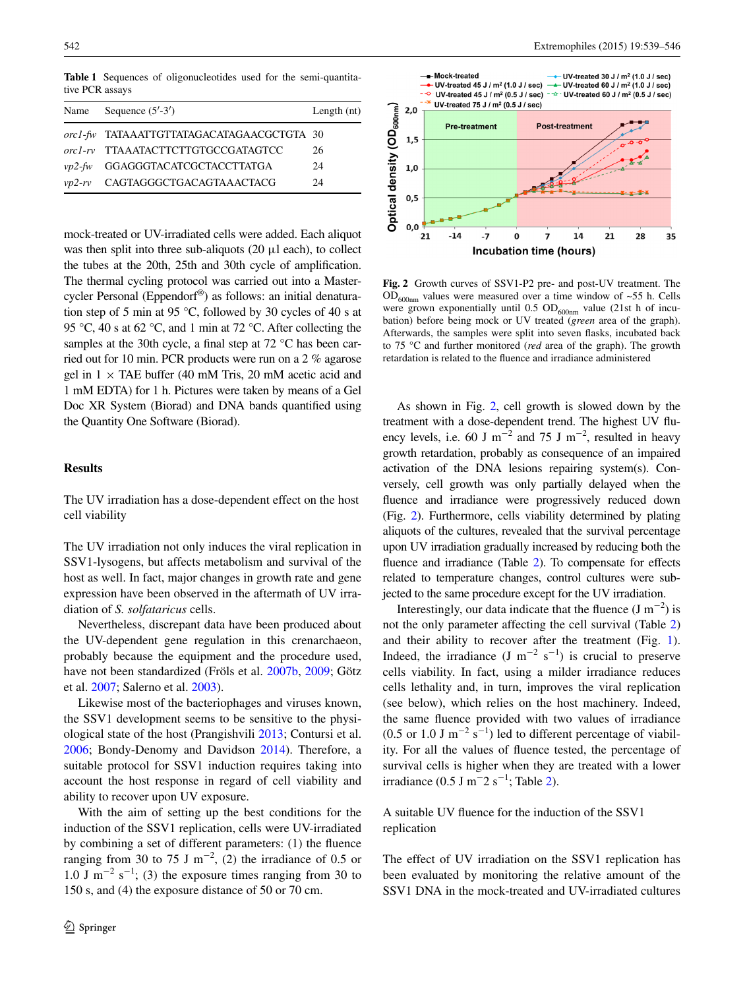<span id="page-4-0"></span>**Table 1** Sequences of oligonucleotides used for the semi-quantitative PCR assays

| Name      | Sequence $(5'$ -3')                       | Length $(nt)$ |
|-----------|-------------------------------------------|---------------|
|           | orc1-fw TATAAATTGTTATAGACATAGAACGCTGTA 30 |               |
|           | orc1-rv TTAAATACTTCTTGTGCCGATAGTCC        | 26            |
| $vp2$ -fw | GGAGGGTACATCGCTACCTTATGA                  | 24            |
|           | vp2-rv CAGTAGGGCTGACAGTAAACTACG           | 24            |
|           |                                           |               |

mock-treated or UV-irradiated cells were added. Each aliquot was then split into three sub-aliquots (20 μl each), to collect the tubes at the 20th, 25th and 30th cycle of amplification. The thermal cycling protocol was carried out into a Mastercycler Personal (Eppendorf®) as follows: an initial denaturation step of 5 min at 95 °C, followed by 30 cycles of 40 s at 95 °C, 40 s at 62 °C, and 1 min at 72 °C. After collecting the samples at the 30th cycle, a final step at 72 °C has been carried out for 10 min. PCR products were run on a 2 % agarose gel in  $1 \times$  TAE buffer (40 mM Tris, 20 mM acetic acid and 1 mM EDTA) for 1 h. Pictures were taken by means of a Gel Doc XR System (Biorad) and DNA bands quantified using the Quantity One Software (Biorad).

#### **Results**

The UV irradiation has a dose-dependent effect on the host cell viability

The UV irradiation not only induces the viral replication in SSV1-lysogens, but affects metabolism and survival of the host as well. In fact, major changes in growth rate and gene expression have been observed in the aftermath of UV irradiation of *S. solfataricus* cells.

Nevertheless, discrepant data have been produced about the UV-dependent gene regulation in this crenarchaeon, probably because the equipment and the procedure used, have not been standardized (Fröls et al. [2007b](#page-7-20), [2009;](#page-7-21) Götz et al. [2007;](#page-7-22) Salerno et al. [2003](#page-8-16)).

Likewise most of the bacteriophages and viruses known, the SSV1 development seems to be sensitive to the physiological state of the host (Prangishvili [2013;](#page-8-0) Contursi et al. [2006](#page-7-19); Bondy-Denomy and Davidson [2014](#page-7-23)). Therefore, a suitable protocol for SSV1 induction requires taking into account the host response in regard of cell viability and ability to recover upon UV exposure.

With the aim of setting up the best conditions for the induction of the SSV1 replication, cells were UV-irradiated by combining a set of different parameters: (1) the fluence ranging from 30 to 75 J m<sup>-2</sup>, (2) the irradiance of 0.5 or 1.0 J m<sup>-2</sup> s<sup>-1</sup>; (3) the exposure times ranging from 30 to 150 s, and (4) the exposure distance of 50 or 70 cm.



<span id="page-4-1"></span>**Fig. 2** Growth curves of SSV1-P2 pre- and post-UV treatment. The  $OD_{600nm}$  values were measured over a time window of ~55 h. Cells were grown exponentially until  $0.5 \text{ OD}_{600nm}$  value (21st h of incubation) before being mock or UV treated (*green* area of the graph). Afterwards, the samples were split into seven flasks, incubated back to 75 °C and further monitored (*red* area of the graph). The growth retardation is related to the fluence and irradiance administered

As shown in Fig. [2,](#page-4-1) cell growth is slowed down by the treatment with a dose-dependent trend. The highest UV fluency levels, i.e. 60 J m<sup>-2</sup> and 75 J m<sup>-2</sup>, resulted in heavy growth retardation, probably as consequence of an impaired activation of the DNA lesions repairing system(s). Conversely, cell growth was only partially delayed when the fluence and irradiance were progressively reduced down (Fig. [2\)](#page-4-1). Furthermore, cells viability determined by plating aliquots of the cultures, revealed that the survival percentage upon UV irradiation gradually increased by reducing both the fluence and irradiance (Table [2](#page-5-0)). To compensate for effects related to temperature changes, control cultures were subjected to the same procedure except for the UV irradiation.

Interestingly, our data indicate that the fluence  $(J m^{-2})$  is not the only parameter affecting the cell survival (Table [2\)](#page-5-0) and their ability to recover after the treatment (Fig. [1](#page-3-0)). Indeed, the irradiance (J m<sup>-2</sup> s<sup>-1</sup>) is crucial to preserve cells viability. In fact, using a milder irradiance reduces cells lethality and, in turn, improves the viral replication (see below), which relies on the host machinery. Indeed, the same fluence provided with two values of irradiance  $(0.5 \text{ or } 1.0 \text{ J m}^{-2} \text{ s}^{-1})$  led to different percentage of viability. For all the values of fluence tested, the percentage of survival cells is higher when they are treated with a lower irradiance (0.5 J m<sup>-</sup>2 s<sup>-1</sup>; Table [2\)](#page-5-0).

A suitable UV fluence for the induction of the SSV1 replication

The effect of UV irradiation on the SSV1 replication has been evaluated by monitoring the relative amount of the SSV1 DNA in the mock-treated and UV-irradiated cultures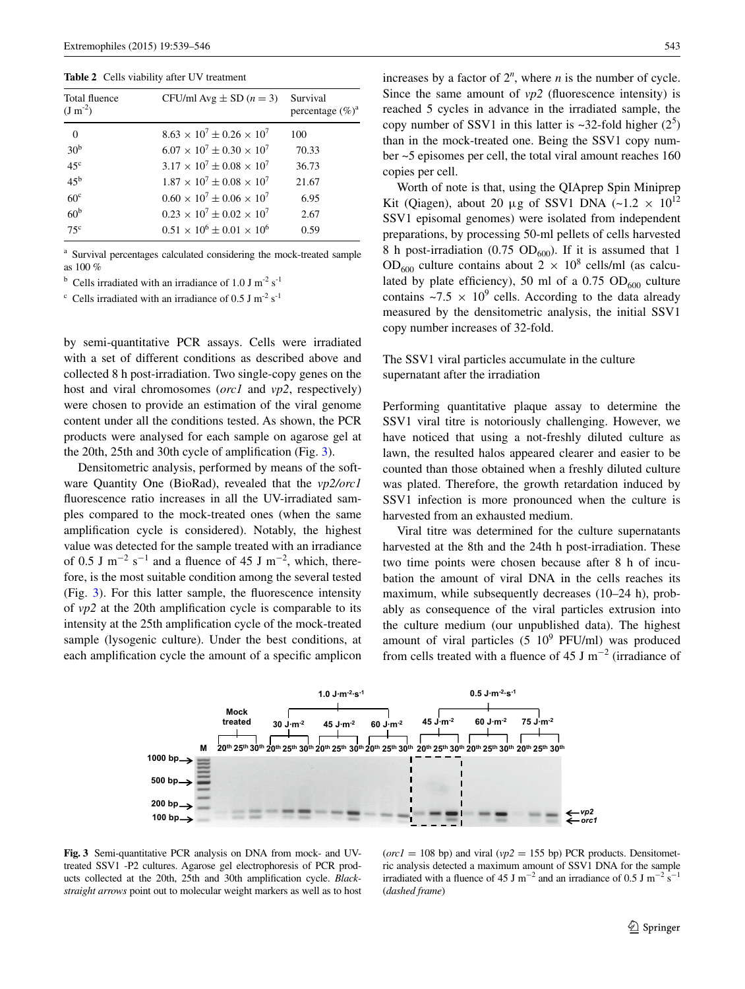<span id="page-5-0"></span>**Table 2** Cells viability after UV treatment

| Total fluence<br>$(J m^{-2})$ | CFU/ml Avg $\pm$ SD ( $n = 3$ )         | Survival<br>percentage $(\%)^a$ |
|-------------------------------|-----------------------------------------|---------------------------------|
| $\Omega$                      | $8.63 \times 10^7 \pm 0.26 \times 10^7$ | 100                             |
| 30 <sup>b</sup>               | $6.07 \times 10^7 \pm 0.30 \times 10^7$ | 70.33                           |
| 45 <sup>c</sup>               | $3.17 \times 10^7 \pm 0.08 \times 10^7$ | 36.73                           |
| $45^{\rm b}$                  | $1.87 \times 10^7 + 0.08 \times 10^7$   | 21.67                           |
| 60 <sup>c</sup>               | $0.60 \times 10^7 \pm 0.06 \times 10^7$ | 6.95                            |
| 60 <sup>b</sup>               | $0.23 \times 10^7 \pm 0.02 \times 10^7$ | 2.67                            |
| $75^{\circ}$                  | $0.51 \times 10^6 \pm 0.01 \times 10^6$ | 0.59                            |
|                               |                                         |                                 |

<sup>a</sup> Survival percentages calculated considering the mock-treated sample as 100 %

<sup>b</sup> Cells irradiated with an irradiance of 1.0 J m<sup>-2</sup> s<sup>-1</sup>

<sup>c</sup> Cells irradiated with an irradiance of 0.5 J m<sup>-2</sup> s<sup>-1</sup>

by semi-quantitative PCR assays. Cells were irradiated with a set of different conditions as described above and collected 8 h post-irradiation. Two single-copy genes on the host and viral chromosomes (*orc1* and *vp2*, respectively) were chosen to provide an estimation of the viral genome content under all the conditions tested. As shown, the PCR products were analysed for each sample on agarose gel at the 20th, 25th and 30th cycle of amplification (Fig. [3](#page-5-1)).

Densitometric analysis, performed by means of the software Quantity One (BioRad), revealed that the *vp2/orc1* fluorescence ratio increases in all the UV-irradiated samples compared to the mock-treated ones (when the same amplification cycle is considered). Notably, the highest value was detected for the sample treated with an irradiance of 0.5 J m<sup>-2</sup> s<sup>-1</sup> and a fluence of 45 J m<sup>-2</sup>, which, therefore, is the most suitable condition among the several tested (Fig. [3](#page-5-1)). For this latter sample, the fluorescence intensity of *vp2* at the 20th amplification cycle is comparable to its intensity at the 25th amplification cycle of the mock-treated sample (lysogenic culture). Under the best conditions, at each amplification cycle the amount of a specific amplicon

increases by a factor of  $2^n$ , where *n* is the number of cycle. Since the same amount of *vp2* (fluorescence intensity) is reached 5 cycles in advance in the irradiated sample, the copy number of SSV1 in this latter is  $\sim$ 32-fold higher (2<sup>5</sup>) than in the mock-treated one. Being the SSV1 copy number ~5 episomes per cell, the total viral amount reaches 160 copies per cell.

Worth of note is that, using the QIAprep Spin Miniprep Kit (Qiagen), about 20  $\mu$ g of SSV1 DNA (~1.2 × 10<sup>12</sup>) SSV1 episomal genomes) were isolated from independent preparations, by processing 50-ml pellets of cells harvested 8 h post-irradiation (0.75 OD<sub>600</sub>). If it is assumed that 1 OD<sub>600</sub> culture contains about  $2 \times 10^8$  cells/ml (as calculated by plate efficiency), 50 ml of a 0.75  $OD<sub>600</sub>$  culture contains  $\sim$ 7.5  $\times$  10<sup>9</sup> cells. According to the data already measured by the densitometric analysis, the initial SSV1 copy number increases of 32-fold.

#### The SSV1 viral particles accumulate in the culture supernatant after the irradiation

Performing quantitative plaque assay to determine the SSV1 viral titre is notoriously challenging. However, we have noticed that using a not-freshly diluted culture as lawn, the resulted halos appeared clearer and easier to be counted than those obtained when a freshly diluted culture was plated. Therefore, the growth retardation induced by SSV1 infection is more pronounced when the culture is harvested from an exhausted medium.

Viral titre was determined for the culture supernatants harvested at the 8th and the 24th h post-irradiation. These two time points were chosen because after 8 h of incubation the amount of viral DNA in the cells reaches its maximum, while subsequently decreases (10–24 h), probably as consequence of the viral particles extrusion into the culture medium (our unpublished data). The highest amount of viral particles  $(5 \t10^9 \tPEU/ml)$  was produced from cells treated with a fluence of 45 J m<sup>-2</sup> (irradiance of



<span id="page-5-1"></span>**Fig. 3** Semi-quantitative PCR analysis on DNA from mock- and UVtreated SSV1 -P2 cultures. Agarose gel electrophoresis of PCR products collected at the 20th, 25th and 30th amplification cycle. *Blackstraight arrows* point out to molecular weight markers as well as to host

 $(orc1 = 108$  bp) and viral  $(vp2 = 155$  bp) PCR products. Densitometric analysis detected a maximum amount of SSV1 DNA for the sample irradiated with a fluence of 45 J m<sup>-2</sup> and an irradiance of 0.5 J m<sup>-2</sup> s<sup>-1</sup> (*dashed frame*)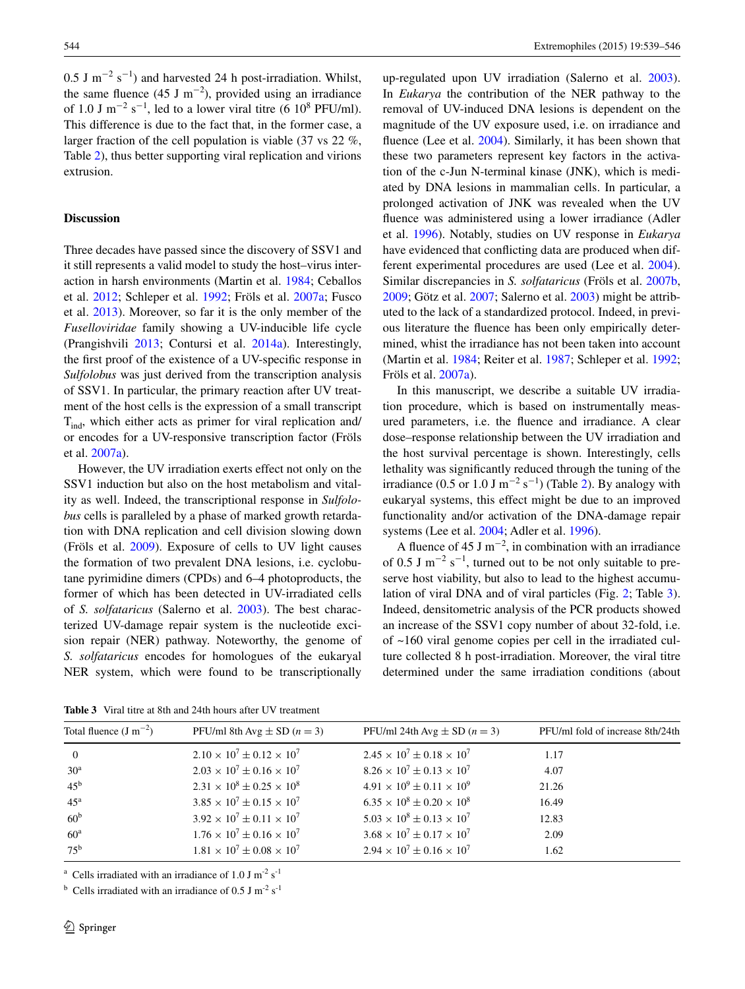0.5 J m<sup>-2</sup> s<sup>-1</sup>) and harvested 24 h post-irradiation. Whilst, the same fluence  $(45 \text{ J m}^{-2})$ , provided using an irradiance of 1.0 J m<sup>-2</sup> s<sup>-1</sup>, led to a lower viral titre (6 10<sup>8</sup> PFU/ml). This difference is due to the fact that, in the former case, a larger fraction of the cell population is viable (37 vs 22 %, Table [2](#page-5-0)), thus better supporting viral replication and virions extrusion.

#### **Discussion**

Three decades have passed since the discovery of SSV1 and it still represents a valid model to study the host–virus interaction in harsh environments (Martin et al. [1984](#page-8-1); Ceballos et al. [2012](#page-7-0); Schleper et al. [1992;](#page-8-6) Fröls et al. [2007a](#page-7-6); Fusco et al. [2013](#page-7-7)). Moreover, so far it is the only member of the *Fuselloviridae* family showing a UV-inducible life cycle (Prangishvili [2013;](#page-8-0) Contursi et al. [2014a\)](#page-7-10). Interestingly, the first proof of the existence of a UV-specific response in *Sulfolobus* was just derived from the transcription analysis of SSV1. In particular, the primary reaction after UV treatment of the host cells is the expression of a small transcript  $T_{ind}$ , which either acts as primer for viral replication and/ or encodes for a UV-responsive transcription factor (Fröls et al. [2007a](#page-7-6)).

However, the UV irradiation exerts effect not only on the SSV1 induction but also on the host metabolism and vitality as well. Indeed, the transcriptional response in *Sulfolobus* cells is paralleled by a phase of marked growth retardation with DNA replication and cell division slowing down (Fröls et al. [2009\)](#page-7-21). Exposure of cells to UV light causes the formation of two prevalent DNA lesions, i.e. cyclobutane pyrimidine dimers (CPDs) and 6–4 photoproducts, the former of which has been detected in UV-irradiated cells of *S. solfataricus* (Salerno et al. [2003\)](#page-8-16). The best characterized UV-damage repair system is the nucleotide excision repair (NER) pathway. Noteworthy, the genome of *S. solfataricus* encodes for homologues of the eukaryal NER system, which were found to be transcriptionally

<span id="page-6-0"></span>**Table 3** Viral titre at 8th and 24th hours after UV treatment

up-regulated upon UV irradiation (Salerno et al. [2003](#page-8-16)). In *Eukarya* the contribution of the NER pathway to the removal of UV-induced DNA lesions is dependent on the magnitude of the UV exposure used, i.e. on irradiance and fluence (Lee et al. [2004](#page-7-24)). Similarly, it has been shown that these two parameters represent key factors in the activation of the c-Jun N-terminal kinase (JNK), which is mediated by DNA lesions in mammalian cells. In particular, a prolonged activation of JNK was revealed when the UV fluence was administered using a lower irradiance (Adler et al. [1996](#page-7-25)). Notably, studies on UV response in *Eukarya* have evidenced that conflicting data are produced when different experimental procedures are used (Lee et al. [2004](#page-7-24)). Similar discrepancies in *S. solfataricus* (Fröls et al. [2007b,](#page-7-20) [2009](#page-7-21); Götz et al. [2007;](#page-7-22) Salerno et al. [2003](#page-8-16)) might be attributed to the lack of a standardized protocol. Indeed, in previous literature the fluence has been only empirically determined, whist the irradiance has not been taken into account (Martin et al. [1984;](#page-8-1) Reiter et al. [1987](#page-8-5); Schleper et al. [1992](#page-8-6); Fröls et al. [2007a\)](#page-7-6).

In this manuscript, we describe a suitable UV irradiation procedure, which is based on instrumentally measured parameters, i.e. the fluence and irradiance. A clear dose–response relationship between the UV irradiation and the host survival percentage is shown. Interestingly, cells lethality was significantly reduced through the tuning of the irradiance (0.5 or 1.0 J m<sup>-2</sup> s<sup>-1</sup>) (Table [2\)](#page-5-0). By analogy with eukaryal systems, this effect might be due to an improved functionality and/or activation of the DNA-damage repair systems (Lee et al. [2004](#page-7-24); Adler et al. [1996](#page-7-25)).

A fluence of 45 J m<sup>-2</sup>, in combination with an irradiance of 0.5 J m<sup>-2</sup> s<sup>-1</sup>, turned out to be not only suitable to preserve host viability, but also to lead to the highest accumulation of viral DNA and of viral particles (Fig. [2;](#page-4-1) Table [3](#page-6-0)). Indeed, densitometric analysis of the PCR products showed an increase of the SSV1 copy number of about 32-fold, i.e. of ~160 viral genome copies per cell in the irradiated culture collected 8 h post-irradiation. Moreover, the viral titre determined under the same irradiation conditions (about

| Total fluence $(J m^{-2})$ | PFU/ml 8th Avg $\pm$ SD ( $n = 3$ )     | PFU/ml 24th Avg $\pm$ SD ( $n = 3$ )    | PFU/ml fold of increase 8th/24th |
|----------------------------|-----------------------------------------|-----------------------------------------|----------------------------------|
| $\overline{0}$             | $2.10 \times 10^7 \pm 0.12 \times 10^7$ | $2.45 \times 10^7 \pm 0.18 \times 10^7$ | 1.17                             |
| 30 <sup>a</sup>            | $2.03 \times 10^7 \pm 0.16 \times 10^7$ | $8.26 \times 10^7 \pm 0.13 \times 10^7$ | 4.07                             |
| $45^{\rm b}$               | $2.31 \times 10^8 \pm 0.25 \times 10^8$ | $4.91 \times 10^9 \pm 0.11 \times 10^9$ | 21.26                            |
| $45^{\mathrm{a}}$          | $3.85 \times 10^7 \pm 0.15 \times 10^7$ | $6.35 \times 10^8 \pm 0.20 \times 10^8$ | 16.49                            |
| 60 <sup>b</sup>            | $3.92 \times 10^7 \pm 0.11 \times 10^7$ | $5.03 \times 10^8 \pm 0.13 \times 10^7$ | 12.83                            |
| 60 <sup>a</sup>            | $1.76 \times 10^7 \pm 0.16 \times 10^7$ | $3.68 \times 10^7 \pm 0.17 \times 10^7$ | 2.09                             |
| $75^{\rm b}$               | $1.81 \times 10^7 \pm 0.08 \times 10^7$ | $2.94 \times 10^7 \pm 0.16 \times 10^7$ | 1.62                             |
|                            |                                         |                                         |                                  |

<sup>a</sup> Cells irradiated with an irradiance of 1.0 J m<sup>-2</sup> s<sup>-1</sup>

<sup>b</sup> Cells irradiated with an irradiance of 0.5 J m<sup>-2</sup> s<sup>-1</sup>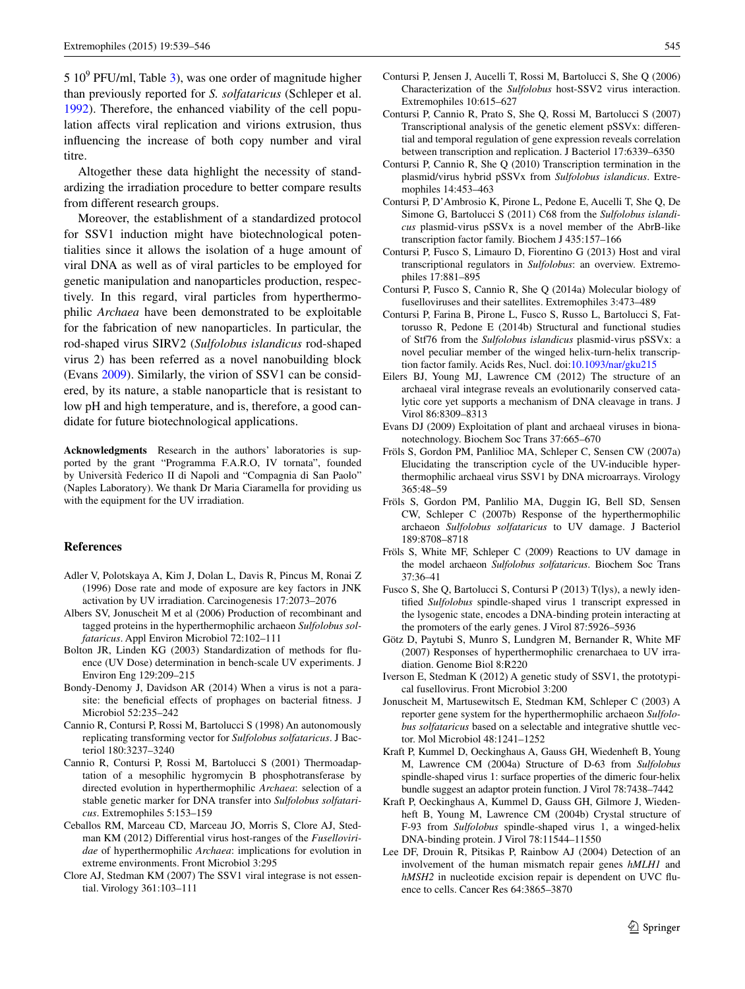$510<sup>9</sup>$  PFU/ml, Table [3\)](#page-6-0), was one order of magnitude higher than previously reported for *S. solfataricus* (Schleper et al. [1992](#page-8-6)). Therefore, the enhanced viability of the cell population affects viral replication and virions extrusion, thus influencing the increase of both copy number and viral titre.

Altogether these data highlight the necessity of standardizing the irradiation procedure to better compare results from different research groups.

Moreover, the establishment of a standardized protocol for SSV1 induction might have biotechnological potentialities since it allows the isolation of a huge amount of viral DNA as well as of viral particles to be employed for genetic manipulation and nanoparticles production, respectively. In this regard, viral particles from hyperthermophilic *Archaea* have been demonstrated to be exploitable for the fabrication of new nanoparticles. In particular, the rod-shaped virus SIRV2 (*Sulfolobus islandicus* rod-shaped virus 2) has been referred as a novel nanobuilding block (Evans [2009](#page-7-26)). Similarly, the virion of SSV1 can be considered, by its nature, a stable nanoparticle that is resistant to low pH and high temperature, and is, therefore, a good candidate for future biotechnological applications.

**Acknowledgments** Research in the authors' laboratories is supported by the grant "Programma F.A.R.O, IV tornata", founded by Università Federico II di Napoli and "Compagnia di San Paolo" (Naples Laboratory). We thank Dr Maria Ciaramella for providing us with the equipment for the UV irradiation.

#### **References**

- <span id="page-7-25"></span>Adler V, Polotskaya A, Kim J, Dolan L, Davis R, Pincus M, Ronai Z (1996) Dose rate and mode of exposure are key factors in JNK activation by UV irradiation. Carcinogenesis 17:2073–2076
- <span id="page-7-15"></span>Albers SV, Jonuscheit M et al (2006) Production of recombinant and tagged proteins in the hyperthermophilic archaeon *Sulfolobus solfataricus*. Appl Environ Microbiol 72:102–111
- <span id="page-7-18"></span>Bolton JR, Linden KG (2003) Standardization of methods for fluence (UV Dose) determination in bench-scale UV experiments. J Environ Eng 129:209–215
- <span id="page-7-23"></span>Bondy-Denomy J, Davidson AR (2014) When a virus is not a parasite: the beneficial effects of prophages on bacterial fitness. J Microbiol 52:235–242
- <span id="page-7-16"></span>Cannio R, Contursi P, Rossi M, Bartolucci S (1998) An autonomously replicating transforming vector for *Sulfolobus solfataricus*. J Bacteriol 180:3237–3240
- <span id="page-7-17"></span>Cannio R, Contursi P, Rossi M, Bartolucci S (2001) Thermoadaptation of a mesophilic hygromycin B phosphotransferase by directed evolution in hyperthermophilic *Archaea*: selection of a stable genetic marker for DNA transfer into *Sulfolobus solfataricus*. Extremophiles 5:153–159
- <span id="page-7-0"></span>Ceballos RM, Marceau CD, Marceau JO, Morris S, Clore AJ, Stedman KM (2012) Differential virus host-ranges of the *Fuselloviridae* of hyperthermophilic *Archaea*: implications for evolution in extreme environments. Front Microbiol 3:295
- <span id="page-7-1"></span>Clore AJ, Stedman KM (2007) The SSV1 viral integrase is not essential. Virology 361:103–111
- <span id="page-7-19"></span>Contursi P, Jensen J, Aucelli T, Rossi M, Bartolucci S, She Q (2006) Characterization of the *Sulfolobus* host-SSV2 virus interaction. Extremophiles 10:615–627
- <span id="page-7-8"></span>Contursi P, Cannio R, Prato S, She Q, Rossi M, Bartolucci S (2007) Transcriptional analysis of the genetic element pSSVx: differential and temporal regulation of gene expression reveals correlation between transcription and replication. J Bacteriol 17:6339–6350
- <span id="page-7-9"></span>Contursi P, Cannio R, She Q (2010) Transcription termination in the plasmid/virus hybrid pSSVx from *Sulfolobus islandicus*. Extremophiles 14:453–463
- <span id="page-7-12"></span>Contursi P, D'Ambrosio K, Pirone L, Pedone E, Aucelli T, She Q, De Simone G, Bartolucci S (2011) C68 from the *Sulfolobus islandicus* plasmid-virus pSSVx is a novel member of the AbrB-like transcription factor family. Biochem J 435:157–166
- <span id="page-7-11"></span>Contursi P, Fusco S, Limauro D, Fiorentino G (2013) Host and viral transcriptional regulators in *Sulfolobus*: an overview. Extremophiles 17:881–895
- <span id="page-7-10"></span>Contursi P, Fusco S, Cannio R, She Q (2014a) Molecular biology of fuselloviruses and their satellites. Extremophiles 3:473–489
- <span id="page-7-13"></span>Contursi P, Farina B, Pirone L, Fusco S, Russo L, Bartolucci S, Fattorusso R, Pedone E (2014b) Structural and functional studies of Stf76 from the *Sulfolobus islandicus* plasmid-virus pSSVx: a novel peculiar member of the winged helix-turn-helix transcription factor family. Acids Res, Nucl. doi:[10.1093/nar/gku215](http://dx.doi.org/10.1093/nar/gku215)
- <span id="page-7-5"></span>Eilers BJ, Young MJ, Lawrence CM (2012) The structure of an archaeal viral integrase reveals an evolutionarily conserved catalytic core yet supports a mechanism of DNA cleavage in trans. J Virol 86:8309–8313
- <span id="page-7-26"></span>Evans DJ (2009) Exploitation of plant and archaeal viruses in bionanotechnology. Biochem Soc Trans 37:665–670
- <span id="page-7-6"></span>Fröls S, Gordon PM, Panlilioc MA, Schleper C, Sensen CW (2007a) Elucidating the transcription cycle of the UV-inducible hyperthermophilic archaeal virus SSV1 by DNA microarrays. Virology 365:48–59
- <span id="page-7-20"></span>Fröls S, Gordon PM, Panlilio MA, Duggin IG, Bell SD, Sensen CW, Schleper C (2007b) Response of the hyperthermophilic archaeon *Sulfolobus solfataricus* to UV damage. J Bacteriol 189:8708–8718
- <span id="page-7-21"></span>Fröls S, White MF, Schleper C (2009) Reactions to UV damage in the model archaeon *Sulfolobus solfataricus*. Biochem Soc Trans 37:36–41
- <span id="page-7-7"></span>Fusco S, She Q, Bartolucci S, Contursi P (2013) T(lys), a newly identified *Sulfolobus* spindle-shaped virus 1 transcript expressed in the lysogenic state, encodes a DNA-binding protein interacting at the promoters of the early genes. J Virol 87:5926–5936
- <span id="page-7-22"></span>Götz D, Paytubi S, Munro S, Lundgren M, Bernander R, White MF (2007) Responses of hyperthermophilic crenarchaea to UV irradiation. Genome Biol 8:R220
- <span id="page-7-2"></span>Iverson E, Stedman K (2012) A genetic study of SSV1, the prototypical fusellovirus. Front Microbiol 3:200
- <span id="page-7-14"></span>Jonuscheit M, Martusewitsch E, Stedman KM, Schleper C (2003) A reporter gene system for the hyperthermophilic archaeon *Sulfolobus solfataricus* based on a selectable and integrative shuttle vector. Mol Microbiol 48:1241–1252
- <span id="page-7-3"></span>Kraft P, Kummel D, Oeckinghaus A, Gauss GH, Wiedenheft B, Young M, Lawrence CM (2004a) Structure of D-63 from *Sulfolobus* spindle-shaped virus 1: surface properties of the dimeric four-helix bundle suggest an adaptor protein function. J Virol 78:7438–7442
- <span id="page-7-4"></span>Kraft P, Oeckinghaus A, Kummel D, Gauss GH, Gilmore J, Wiedenheft B, Young M, Lawrence CM (2004b) Crystal structure of F-93 from *Sulfolobus* spindle-shaped virus 1, a winged-helix DNA-binding protein. J Virol 78:11544–11550
- <span id="page-7-24"></span>Lee DF, Drouin R, Pitsikas P, Rainbow AJ (2004) Detection of an involvement of the human mismatch repair genes *hMLH1* and *hMSH2* in nucleotide excision repair is dependent on UVC fluence to cells. Cancer Res 64:3865–3870